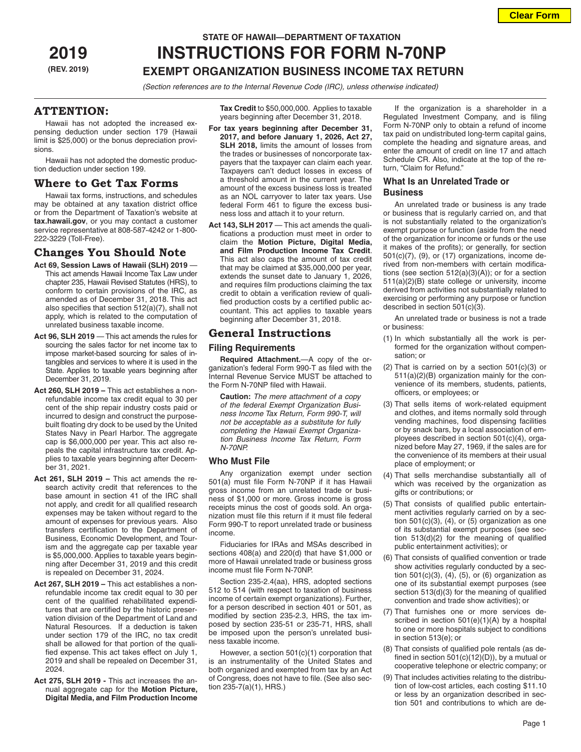**Clear Form**

# **STATE OF HAWAII—DEPARTMENT OF TAXATION**

# **2019 INSTRUCTIONS FOR FORM N-70NP (REV. 2019) EXEMPT ORGANIZATION BUSINESS INCOME TAX RETURN**

*(Section references are to the Internal Revenue Code (IRC), unless otherwise indicated)*

# **ATTENTION:**

Hawaii has not adopted the increased expensing deduction under section 179 (Hawaii limit is \$25,000) or the bonus depreciation provisions.

Hawaii has not adopted the domestic production deduction under section 199.

# **Where to Get Tax Forms**

Hawaii tax forms, instructions, and schedules may be obtained at any taxation district office or from the Department of Taxation's website at **tax.hawaii.gov**, or you may contact a customer service representative at 808-587-4242 or 1-800- 222-3229 (Toll-Free).

# **Changes You Should Note**

- **Act 69, Session Laws of Hawaii (SLH) 2019**  This act amends Hawaii Income Tax Law under chapter 235, Hawaii Revised Statutes (HRS), to conform to certain provisions of the IRC, as amended as of December 31, 2018. This act also specifies that section 512(a)(7), shall not apply, which is related to the computation of unrelated business taxable income.
- **Act 96, SLH 2019** This act amends the rules for sourcing the sales factor for net income tax to impose market-based sourcing for sales of intangibles and services to where it is used in the State. Applies to taxable years beginning after December 31, 2019.
- **Act 260, SLH 2019** This act establishes a nonrefundable income tax credit equal to 30 per cent of the ship repair industry costs paid or incurred to design and construct the purposebuilt floating dry dock to be used by the United States Navy in Pearl Harbor. The aggregate cap is \$6,000,000 per year. This act also repeals the capital infrastructure tax credit. Applies to taxable years beginning after December 31, 2021.
- **Act 261, SLH 2019** This act amends the research activity credit that references to the base amount in section 41 of the IRC shall not apply, and credit for all qualified research expenses may be taken without regard to the amount of expenses for previous years. Also transfers certification to the Department of Business, Economic Development, and Tourism and the aggregate cap per taxable year is \$5,000,000. Applies to taxable years beginning after December 31, 2019 and this credit is repealed on December 31, 2024.
- **Act 267, SLH 2019** This act establishes a nonrefundable income tax credit equal to 30 per cent of the qualified rehabilitated expenditures that are certified by the historic preservation division of the Department of Land and Natural Resources. If a deduction is taken under section 179 of the IRC, no tax credit shall be allowed for that portion of the qualified expense. This act takes effect on July 1, 2019 and shall be repealed on December 31, 2024.
- **Act 275, SLH 2019** This act increases the annual aggregate cap for the **Motion Picture, Digital Media, and Film Production Income**

**Tax Credit** to \$50,000,000. Applies to taxable years beginning after December 31, 2018.

- **For tax years beginning after December 31, 2017, and before January 1, 2026, Act 27, SLH 2018,** limits the amount of losses from the trades or businesses of noncorporate taxpayers that the taxpayer can claim each year. Taxpayers can't deduct losses in excess of a threshold amount in the current year. The amount of the excess business loss is treated as an NOL carryover to later tax years. Use federal Form 461 to figure the excess business loss and attach it to your return.
- Act 143, SLH 2017 This act amends the qualifications a production must meet in order to claim the **Motion Picture, Digital Media, and Film Production Income Tax Credit**. This act also caps the amount of tax credit that may be claimed at \$35,000,000 per year, extends the sunset date to January 1, 2026, and requires film productions claiming the tax credit to obtain a verification review of qualified production costs by a certified public accountant. This act applies to taxable years beginning after December 31, 2018.

# **General Instructions**

# **Filing Requirements**

**Required Attachment.**—A copy of the organization's federal Form 990-T as filed with the Internal Revenue Service MUST be attached to the Form N-70NP filed with Hawaii.

**Caution:** *The mere attachment of a copy of the federal Exempt Organization Business Income Tax Return, Form 990-T, will not be acceptable as a substitute for fully completing the Hawaii Exempt Organization Business Income Tax Return, Form N-70NP.*

# **Who Must File**

Any organization exempt under section 501(a) must file Form N-70NP if it has Hawaii gross income from an unrelated trade or business of \$1,000 or more. Gross income is gross receipts minus the cost of goods sold. An organization must file this return if it must file federal Form 990-T to report unrelated trade or business income.

Fiduciaries for IRAs and MSAs described in sections 408(a) and 220(d) that have \$1,000 or more of Hawaii unrelated trade or business gross income must file Form N-70NP.

Section 235-2.4(aa), HRS, adopted sections 512 to 514 (with respect to taxation of business income of certain exempt organizations). Further, for a person described in section 401 or 501, as modified by section 235-2.3, HRS, the tax imposed by section 235-51 or 235-71, HRS, shall be imposed upon the person's unrelated business taxable income.

However, a section 501(c)(1) corporation that is an instrumentality of the United States and both organized and exempted from tax by an Act of Congress, does not have to file. (See also section 235-7(a)(1), HRS.)

If the organization is a shareholder in a Regulated Investment Company, and is filing Form N-70NP only to obtain a refund of income tax paid on undistributed long-term capital gains, complete the heading and signature areas, and enter the amount of credit on line 17 and attach Schedule CR. Also, indicate at the top of the return, "Claim for Refund."

# **What Is an Unrelated Trade or Business**

An unrelated trade or business is any trade or business that is regularly carried on, and that is not substantially related to the organization's exempt purpose or function (aside from the need of the organization for income or funds or the use it makes of the profits); or generally, for section  $501(c)(7)$ ,  $(9)$ , or  $(17)$  organizations, income derived from non-members with certain modifications (see section 512(a)(3)(A)); or for a section 511(a)(2)(B) state college or university, income derived from activities not substantially related to exercising or performing any purpose or function described in section 501(c)(3).

An unrelated trade or business is not a trade or business:

- (1) In which substantially all the work is performed for the organization without compensation; or
- (2) That is carried on by a section  $501(c)(3)$  or 511(a)(2)(B) organization mainly for the convenience of its members, students, patients, officers, or employees; or
- (3) That sells items of work-related equipment and clothes, and items normally sold through vending machines, food dispensing facilities or by snack bars, by a local association of employees described in section 501(c)(4), organized before May 27, 1969, if the sales are for the convenience of its members at their usual place of employment; or
- (4) That sells merchandise substantially all of which was received by the organization as gifts or contributions; or
- (5) That consists of qualified public entertainment activities regularly carried on by a section  $501(c)(3)$ ,  $(4)$ , or  $(5)$  organization as one of its substantial exempt purposes (see section 513(d)(2) for the meaning of qualified public entertainment activities); or
- (6) That consists of qualified convention or trade show activities regularly conducted by a section 501(c)(3), (4), (5), or (6) organization as one of its substantial exempt purposes (see section 513(d)(3) for the meaning of qualified convention and trade show activities); or
- (7) That furnishes one or more services described in section 501(e)(1)(A) by a hospital to one or more hospitals subject to conditions in section 513(e); or
- (8) That consists of qualified pole rentals (as defined in section  $501(c)(12)(D)$ ), by a mutual or cooperative telephone or electric company; or
- (9) That includes activities relating to the distribution of low-cost articles, each costing \$11.10 or less by an organization described in section 501 and contributions to which are de-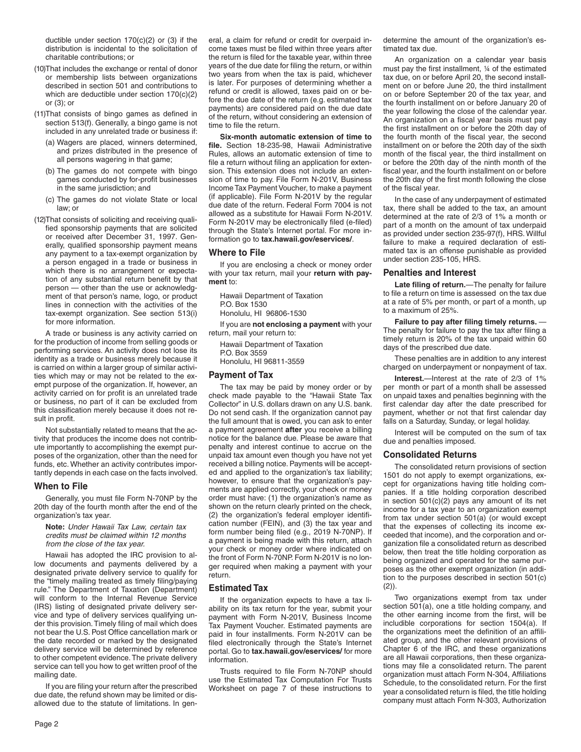ductible under section 170(c)(2) or (3) if the distribution is incidental to the solicitation of charitable contributions; or

- (10)That includes the exchange or rental of donor or membership lists between organizations described in section 501 and contributions to which are deductible under section 170(c)(2) or (3); or
- (11)That consists of bingo games as defined in section 513(f). Generally, a bingo game is not included in any unrelated trade or business if:
	- (a) Wagers are placed, winners determined, and prizes distributed in the presence of all persons wagering in that game;
	- (b) The games do not compete with bingo games conducted by for-profit businesses in the same jurisdiction; and
	- (c) The games do not violate State or local law; or
- (12)That consists of soliciting and receiving qualified sponsorship payments that are solicited or received after December 31, 1997. Generally, qualified sponsorship payment means any payment to a tax-exempt organization by a person engaged in a trade or business in which there is no arrangement or expectation of any substantial return benefit by that person — other than the use or acknowledgment of that person's name, logo, or product lines in connection with the activities of the tax-exempt organization. See section 513(i) for more information.

A trade or business is any activity carried on for the production of income from selling goods or performing services. An activity does not lose its identity as a trade or business merely because it is carried on within a larger group of similar activities which may or may not be related to the exempt purpose of the organization. If, however, an activity carried on for profit is an unrelated trade or business, no part of it can be excluded from this classification merely because it does not result in profit.

Not substantially related to means that the activity that produces the income does not contribute importantly to accomplishing the exempt purposes of the organization, other than the need for funds, etc. Whether an activity contributes importantly depends in each case on the facts involved.

#### **When to File**

Generally, you must file Form N-70NP by the 20th day of the fourth month after the end of the organization's tax year.

**Note:** *Under Hawaii Tax Law, certain tax credits must be claimed within 12 months from the close of the tax year.*

Hawaii has adopted the IRC provision to allow documents and payments delivered by a designated private delivery service to qualify for the "timely mailing treated as timely filing/paying rule." The Department of Taxation (Department) will conform to the Internal Revenue Service (IRS) listing of designated private delivery service and type of delivery services qualifying under this provision. Timely filing of mail which does not bear the U.S. Post Office cancellation mark or the date recorded or marked by the designated delivery service will be determined by reference to other competent evidence. The private delivery service can tell you how to get written proof of the mailing date.

If you are filing your return after the prescribed due date, the refund shown may be limited or disallowed due to the statute of limitations. In general, a claim for refund or credit for overpaid income taxes must be filed within three years after the return is filed for the taxable year, within three years of the due date for filing the return, or within two years from when the tax is paid, whichever is later. For purposes of determining whether a refund or credit is allowed, taxes paid on or before the due date of the return (e.g. estimated tax payments) are considered paid on the due date of the return, without considering an extension of time to file the return.

**Six-month automatic extension of time to file.** Section 18-235-98, Hawaii Administrative Rules, allows an automatic extension of time to file a return without filing an application for extension. This extension does not include an extension of time to pay. File Form N-201V, Business Income Tax Payment Voucher, to make a payment (if applicable). File Form N-201V by the regular due date of the return. Federal Form 7004 is not allowed as a substitute for Hawaii Form N-201V. Form N-201V may be electronically filed (e-filed) through the State's Internet portal. For more information go to **tax.hawaii.gov/eservices/**.

#### **Where to File**

If you are enclosing a check or money order with your tax return, mail your **return with payment** to:

Hawaii Department of Taxation P.O. Box 1530 Honolulu, HI 96806-1530

If you are **not enclosing a payment** with your return, mail your return to:

Hawaii Department of Taxation P.O. Box 3559 Honolulu, HI 96811-3559

### **Payment of Tax**

The tax may be paid by money order or by check made payable to the "Hawaii State Tax Collector" in U.S. dollars drawn on any U.S. bank. Do not send cash. If the organization cannot pay the full amount that is owed, you can ask to enter a payment agreement **after** you receive a billing notice for the balance due. Please be aware that penalty and interest continue to accrue on the unpaid tax amount even though you have not yet received a billing notice. Payments will be accepted and applied to the organization's tax liability; however, to ensure that the organization's payments are applied correctly, your check or money order must have: (1) the organization's name as shown on the return clearly printed on the check, (2) the organization's federal employer identification number (FEIN), and (3) the tax year and form number being filed (e.g., 2019 N-70NP). If a payment is being made with this return, attach your check or money order where indicated on the front of Form N-70NP. Form N-201V is no longer required when making a payment with your return.

## **Estimated Tax**

If the organization expects to have a tax liability on its tax return for the year, submit your payment with Form N-201V, Business Income Tax Payment Voucher. Estimated payments are paid in four installments. Form N-201V can be filed electronically through the State's Internet portal. Go to **tax.hawaii.gov/eservices/** for more information.

Trusts required to file Form N-70NP should use the Estimated Tax Computation For Trusts Worksheet on page 7 of these instructions to determine the amount of the organization's estimated tax due.

An organization on a calendar year basis must pay the first installment, ¼ of the estimated tax due, on or before April 20, the second installment on or before June 20, the third installment on or before September 20 of the tax year, and the fourth installment on or before January 20 of the year following the close of the calendar year. An organization on a fiscal year basis must pay the first installment on or before the 20th day of the fourth month of the fiscal year, the second installment on or before the 20th day of the sixth month of the fiscal year, the third installment on or before the 20th day of the ninth month of the fiscal year, and the fourth installment on or before the 20th day of the first month following the close of the fiscal year.

In the case of any underpayment of estimated tax, there shall be added to the tax, an amount determined at the rate of 2/3 of 1% a month or part of a month on the amount of tax underpaid as provided under section 235-97(f), HRS. Willful failure to make a required declaration of estimated tax is an offense punishable as provided under section 235-105, HRS.

#### **Penalties and Interest**

**Late filing of return.**—The penalty for failure to file a return on time is assessed on the tax due at a rate of 5% per month, or part of a month, up to a maximum of 25%.

**Failure to pay after filing timely returns.** — The penalty for failure to pay the tax after filing a timely return is 20% of the tax unpaid within 60 days of the prescribed due date.

These penalties are in addition to any interest charged on underpayment or nonpayment of tax.

**Interest.**—Interest at the rate of 2/3 of 1% per month or part of a month shall be assessed on unpaid taxes and penalties beginning with the first calendar day after the date prescribed for payment, whether or not that first calendar day falls on a Saturday, Sunday, or legal holiday.

Interest will be computed on the sum of tax due and penalties imposed.

## **Consolidated Returns**

The consolidated return provisions of section 1501 do not apply to exempt organizations, except for organizations having title holding companies. If a title holding corporation described in section 501(c)(2) pays any amount of its net income for a tax year to an organization exempt from tax under section 501(a) (or would except that the expenses of collecting its income exceeded that income), and the corporation and organization file a consolidated return as described below, then treat the title holding corporation as being organized and operated for the same purposes as the other exempt organization (in addition to the purposes described in section 501(c)  $(2)$ ).

Two organizations exempt from tax under section 501(a), one a title holding company, and the other earning income from the first, will be includible corporations for section 1504(a). If the organizations meet the definition of an affiliated group, and the other relevant provisions of Chapter 6 of the IRC, and these organizations are all Hawaii corporations, then these organizations may file a consolidated return. The parent organization must attach Form N-304, Affiliations Schedule, to the consolidated return. For the first year a consolidated return is filed, the title holding company must attach Form N-303, Authorization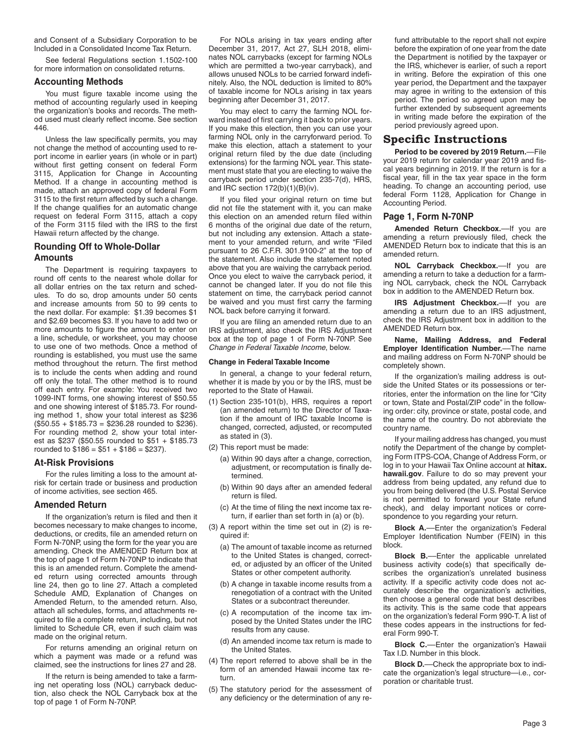and Consent of a Subsidiary Corporation to be Included in a Consolidated Income Tax Return.

See federal Regulations section 1.1502-100 for more information on consolidated returns.

## **Accounting Methods**

You must figure taxable income using the method of accounting regularly used in keeping the organization's books and records. The method used must clearly reflect income. See section 446.

Unless the law specifically permits, you may not change the method of accounting used to report income in earlier years (in whole or in part) without first getting consent on federal Form 3115, Application for Change in Accounting Method. If a change in accounting method is made, attach an approved copy of federal Form 3115 to the first return affected by such a change. If the change qualifies for an automatic change request on federal Form 3115, attach a copy of the Form 3115 filed with the IRS to the first Hawaii return affected by the change.

# **Rounding Off to Whole-Dollar Amounts**

The Department is requiring taxpayers to round off cents to the nearest whole dollar for all dollar entries on the tax return and schedules. To do so, drop amounts under 50 cents and increase amounts from 50 to 99 cents to the next dollar. For example: \$1.39 becomes \$1 and \$2.69 becomes \$3. If you have to add two or more amounts to figure the amount to enter on a line, schedule, or worksheet, you may choose to use one of two methods. Once a method of rounding is established, you must use the same method throughout the return. The first method is to include the cents when adding and round off only the total. The other method is to round off each entry. For example: You received two 1099-INT forms, one showing interest of \$50.55 and one showing interest of \$185.73. For rounding method 1, show your total interest as \$236 (\$50.55 + \$185.73 = \$236.28 rounded to \$236). For rounding method 2, show your total interest as \$237 (\$50.55 rounded to \$51 + \$185.73 rounded to  $$186 = $51 + $186 = $237$ .

## **At-Risk Provisions**

For the rules limiting a loss to the amount atrisk for certain trade or business and production of income activities, see section 465.

## **Amended Return**

If the organization's return is filed and then it becomes necessary to make changes to income, deductions, or credits, file an amended return on Form N-70NP, using the form for the year you are amending. Check the AMENDED Return box at the top of page 1 of Form N-70NP to indicate that this is an amended return. Complete the amended return using corrected amounts through line 24, then go to line 27. Attach a completed Schedule AMD, Explanation of Changes on Amended Return, to the amended return. Also, attach all schedules, forms, and attachments required to file a complete return, including, but not limited to Schedule CR, even if such claim was made on the original return.

For returns amending an original return on which a payment was made or a refund was claimed, see the instructions for lines 27 and 28.

If the return is being amended to take a farming net operating loss (NOL) carryback deduction, also check the NOL Carryback box at the top of page 1 of Form N-70NP.

For NOLs arising in tax years ending after December 31, 2017, Act 27, SLH 2018, eliminates NOL carrybacks (except for farming NOLs which are permitted a two-year carryback), and allows unused NOLs to be carried forward indefinitely. Also, the NOL deduction is limited to 80% of taxable income for NOLs arising in tax years beginning after December 31, 2017.

You may elect to carry the farming NOL forward instead of first carrying it back to prior years. If you make this election, then you can use your farming NOL only in the carryforward period. To make this election, attach a statement to your original return filed by the due date (including extensions) for the farming NOL year. This statement must state that you are electing to waive the carryback period under section 235-7(d), HRS, and IRC section 172(b)(1)(B)(iv).

If you filed your original return on time but did not file the statement with it, you can make this election on an amended return filed within 6 months of the original due date of the return, but not including any extension. Attach a statement to your amended return, and write "Filed pursuant to 26 C.F.R. 301.9100-2" at the top of the statement. Also include the statement noted above that you are waiving the carryback period. Once you elect to waive the carryback period, it cannot be changed later. If you do not file this statement on time, the carryback period cannot be waived and you must first carry the farming NOL back before carrying it forward.

If you are filing an amended return due to an IRS adjustment, also check the IRS Adjustment box at the top of page 1 of Form N-70NP. See *Change in Federal Taxable Income*, below.

#### **Change in Federal Taxable Income**

In general, a change to your federal return, whether it is made by you or by the IRS, must be reported to the State of Hawaii.

- (1) Section 235-101(b), HRS, requires a report (an amended return) to the Director of Taxation if the amount of IRC taxable Income is changed, corrected, adjusted, or recomputed as stated in (3).
- (2) This report must be made:
	- (a) Within 90 days after a change, correction, adjustment, or recomputation is finally determined.
	- (b) Within 90 days after an amended federal return is filed.
	- (c) At the time of filing the next income tax return, if earlier than set forth in (a) or (b).
- (3) A report within the time set out in (2) is required if:
	- (a) The amount of taxable income as returned to the United States is changed, corrected, or adjusted by an officer of the United States or other competent authority.
	- (b) A change in taxable income results from a renegotiation of a contract with the United States or a subcontract thereunder.
	- (c) A recomputation of the income tax imposed by the United States under the IRC results from any cause.
	- (d) An amended income tax return is made to the United States.
- (4) The report referred to above shall be in the form of an amended Hawaii income tax return.
- (5) The statutory period for the assessment of any deficiency or the determination of any re-

fund attributable to the report shall not expire before the expiration of one year from the date the Department is notified by the taxpayer or the IRS, whichever is earlier, of such a report in writing. Before the expiration of this one year period, the Department and the taxpayer may agree in writing to the extension of this period. The period so agreed upon may be further extended by subsequent agreements in writing made before the expiration of the period previously agreed upon.

# **Specific Instructions**

**Period to be covered by 2019 Return.**—File your 2019 return for calendar year 2019 and fiscal years beginning in 2019. If the return is for a fiscal year, fill in the tax year space in the form heading. To change an accounting period, use federal Form 1128, Application for Change in Accounting Period.

#### **Page 1, Form N-70NP**

**Amended Return Checkbox.**––If you are amending a return previously filed, check the AMENDED Return box to indicate that this is an amended return.

**NOL Carryback Checkbox.**––If you are amending a return to take a deduction for a farming NOL carryback, check the NOL Carryback box in addition to the AMENDED Return box.

**IRS Adjustment Checkbox.**––If you are amending a return due to an IRS adjustment, check the IRS Adjustment box in addition to the AMENDED Return box.

**Name, Mailing Address, and Federal Employer Identification Number.**––The name and mailing address on Form N-70NP should be completely shown.

If the organization's mailing address is outside the United States or its possessions or territories, enter the information on the line for "City or town, State and Postal/ZIP code" in the following order: city, province or state, postal code, and the name of the country. Do not abbreviate the country name.

If your mailing address has changed, you must notify the Department of the change by completing Form ITPS-COA, Change of Address Form, or log in to your Hawaii Tax Online account at **hitax. hawaii.gov**. Failure to do so may prevent your address from being updated, any refund due to you from being delivered (the U.S. Postal Service is not permitted to forward your State refund check), and delay important notices or correspondence to you regarding your return.

**Block A.**––Enter the organization's Federal Employer Identification Number (FEIN) in this block.

**Block B.**––Enter the applicable unrelated business activity code(s) that specifically describes the organization's unrelated business activity. If a specific activity code does not accurately describe the organization's activities, then choose a general code that best describes its activity. This is the same code that appears on the organization's federal Form 990-T. A list of these codes appears in the instructions for federal Form 990-T.

**Block C.**—Enter the organization's Hawaii Tax I.D. Number in this block.

**Block D.**––Check the appropriate box to indicate the organization's legal structure—i.e., corporation or charitable trust.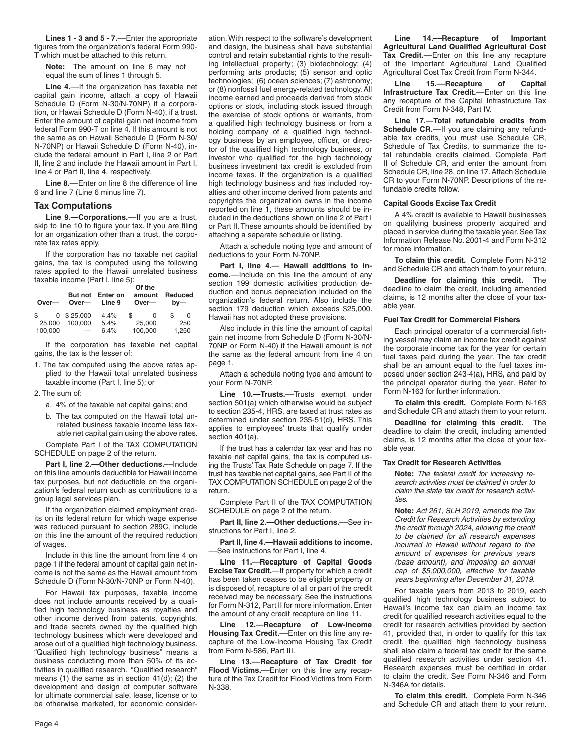**Lines 1 - 3 and 5 - 7.**––Enter the appropriate figures from the organization's federal Form 990- T which must be attached to this return.

**Note:** The amount on line 6 may not equal the sum of lines 1 through 5.

**Line 4.**––If the organization has taxable net capital gain income, attach a copy of Hawaii Schedule D (Form N-30/N-70NP) if a corporation, or Hawaii Schedule D (Form N-40), if a trust. Enter the amount of capital gain net income from federal Form 990-T on line 4. If this amount is not the same as on Hawaii Schedule D (Form N-30/ N-70NP) or Hawaii Schedule D (Form N-40), include the federal amount in Part I, line 2 or Part II, line 2 and include the Hawaii amount in Part I, line 4 or Part II, line 4, respectively.

**Line 8.**––Enter on line 8 the difference of line 6 and line 7 (Line 6 minus line 7).

#### **Tax Computations**

**Line 9.—Corporations.**––If you are a trust, skip to line 10 to figure your tax. If you are filing for an organization other than a trust, the corporate tax rates apply.

If the corporation has no taxable net capital gains, the tax is computed using the following rates applied to the Hawaii unrelated business taxable income (Part I, line 5):

| Over-   | Over-                    | But not Enter on<br>Line 9 | Of the<br>amount<br>Over- | Reduced<br>$bv$ — |
|---------|--------------------------|----------------------------|---------------------------|-------------------|
| \$      | $0$ \$ 25,000            | 4.4%                       | \$                        | S                 |
| 25,000  | 100.000                  | 5.4%                       | 25,000                    | 250               |
| 100,000 | $\overline{\phantom{0}}$ | 6.4%                       | 100,000                   | 1,250             |

If the corporation has taxable net capital gains, the tax is the lesser of:

1. The tax computed using the above rates applied to the Hawaii total unrelated business taxable income (Part I, line 5); or

2. The sum of:

- a. 4% of the taxable net capital gains; and
- b. The tax computed on the Hawaii total unrelated business taxable income less taxable net capital gain using the above rates.

Complete Part I of the TAX COMPUTATION SCHEDULE on page 2 of the return.

**Part I, line 2.—Other deductions.—Include** on this line amounts deductible for Hawaii income tax purposes, but not deductible on the organization's federal return such as contributions to a group legal services plan.

If the organization claimed employment credits on its federal return for which wage expense was reduced pursuant to section 289C, include on this line the amount of the required reduction of wages.

Include in this line the amount from line 4 on page 1 if the federal amount of capital gain net income is not the same as the Hawaii amount from Schedule D (Form N-30/N-70NP or Form N-40).

For Hawaii tax purposes, taxable income does not include amounts received by a qualified high technology business as royalties and other income derived from patents, copyrights, and trade secrets owned by the qualified high technology business which were developed and arose out of a qualified high technology business. "Qualified high technology business" means a business conducting more than 50% of its activities in qualified research. "Qualified research" means (1) the same as in section 41(d); (2) the development and design of computer software for ultimate commercial sale, lease, license or to be otherwise marketed, for economic consideration. With respect to the software's development and design, the business shall have substantial control and retain substantial rights to the resulting intellectual property; (3) biotechnology; (4) performing arts products; (5) sensor and optic technologies; (6) ocean sciences; (7) astronomy; or (8) nonfossil fuel energy-related technology. All income earned and proceeds derived from stock options or stock, including stock issued through the exercise of stock options or warrants, from a qualified high technology business or from a holding company of a qualified high technology business by an employee, officer, or director of the qualified high technology business, or investor who qualified for the high technology business investment tax credit is excluded from income taxes. If the organization is a qualified high technology business and has included royalties and other income derived from patents and copyrights the organization owns in the income reported on line 1, these amounts should be included in the deductions shown on line 2 of Part I or Part II. These amounts should be identified by attaching a separate schedule or listing.

Attach a schedule noting type and amount of deductions to your Form N-70NP.

**Part I, line 4.— Hawaii additions to income.**––Include on this line the amount of any section 199 domestic activities production deduction and bonus depreciation included on the organization's federal return. Also include the section 179 deduction which exceeds \$25,000. Hawaii has not adopted these provisions.

Also include in this line the amount of capital gain net income from Schedule D (Form N-30/N-70NP or Form N-40) if the Hawaii amount is not the same as the federal amount from line 4 on page 1.

Attach a schedule noting type and amount to your Form N-70NP.

**Line 10.—Trusts.**––Trusts exempt under section 501(a) which otherwise would be subject to section 235-4, HRS, are taxed at trust rates as determined under section 235-51(d), HRS. This applies to employees' trusts that qualify under section 401(a).

If the trust has a calendar tax year and has no taxable net capital gains, the tax is computed using the Trusts' Tax Rate Schedule on page 7. If the trust has taxable net capital gains, see Part II of the TAX COMPUTATION SCHEDULE on page 2 of the return.

Complete Part II of the TAX COMPUTATION SCHEDULE on page 2 of the return.

**Part II, line 2.—Other deductions.**––See instructions for Part I, line 2.

**Part II, line 4.—Hawaii additions to income.** ––See instructions for Part I, line 4.

**Line 11.—Recapture of Capital Goods Excise Tax Credit.**—If property for which a credit has been taken ceases to be eligible property or is disposed of, recapture of all or part of the credit received may be necessary. See the instructions for Form N-312, Part II for more information. Enter the amount of any credit recapture on line 11.

**Line 12.—Recapture of Low-Income Housing Tax Credit.**––Enter on this line any recapture of the Low-Income Housing Tax Credit from Form N-586, Part III.

**Line 13.––Recapture of Tax Credit for Flood Victims.**––Enter on this line any recapture of the Tax Credit for Flood Victims from Form N-338.

**Line 14.––Recapture of Important Agricultural Land Qualified Agricultural Cost Tax Credit.**––Enter on this line any recapture of the Important Agricultural Land Qualified Agricultural Cost Tax Credit from Form N-344.

**Line 15.––Recapture of Capital Infrastructure Tax Credit.**––Enter on this line any recapture of the Capital Infrastructure Tax Credit from Form N-348, Part IV.

**Line 17.—Total refundable credits from**  Schedule CR.----If you are claiming any refundable tax credits, you must use Schedule CR, Schedule of Tax Credits, to summarize the total refundable credits claimed. Complete Part II of Schedule CR, and enter the amount from Schedule CR, line 28, on line 17. Attach Schedule CR to your Form N-70NP. Descriptions of the refundable credits follow.

#### **Capital Goods Excise Tax Credit**

A 4% credit is available to Hawaii businesses on qualifying business property acquired and placed in service during the taxable year. See Tax Information Release No. 2001-4 and Form N-312 for more information.

**To claim this credit.** Complete Form N-312 and Schedule CR and attach them to your return.

**Deadline for claiming this credit.** The deadline to claim the credit, including amended claims, is 12 months after the close of your taxable year.

#### **Fuel Tax Credit for Commercial Fishers**

Each principal operator of a commercial fishing vessel may claim an income tax credit against the corporate income tax for the year for certain fuel taxes paid during the year. The tax credit shall be an amount equal to the fuel taxes imposed under section 243-4(a), HRS, and paid by the principal operator during the year. Refer to Form N-163 for further information.

**To claim this credit.** Complete Form N-163 and Schedule CR and attach them to your return.

**Deadline for claiming this credit.** The deadline to claim the credit, including amended claims, is 12 months after the close of your taxable year.

#### **Tax Credit for Research Activities**

**Note:** *The federal credit for increasing research activities must be claimed in order to claim the state tax credit for research activities.*

**Note:** *Act 261, SLH 2019, amends the Tax Credit for Research Activities by extending the credit through 2024, allowing the credit to be claimed for all research expenses incurred in Hawaii without regard to the amount of expenses for previous years (base amount), and imposing an annual cap of \$5,000,000, effective for taxable years beginning after December 31, 2019.*

For taxable years from 2013 to 2019, each qualified high technology business subject to Hawaii's income tax can claim an income tax credit for qualified research activities equal to the credit for research activities provided by section 41, provided that, in order to qualify for this tax credit, the qualified high technology business shall also claim a federal tax credit for the same qualified research activities under section 41. Research expenses must be certified in order to claim the credit. See Form N-346 and Form N-346A for details.

**To claim this credit.** Complete Form N-346 and Schedule CR and attach them to your return.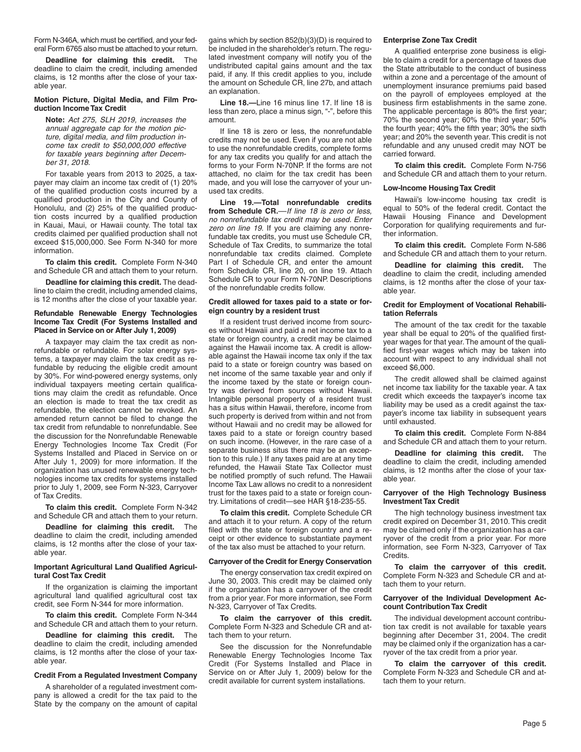Form N-346A, which must be certified, and your federal Form 6765 also must be attached to your return.

**Deadline for claiming this credit.** The deadline to claim the credit, including amended claims, is 12 months after the close of your taxable year.

#### **Motion Picture, Digital Media, and Film Production Income Tax Credit**

**Note:** *Act 275, SLH 2019, increases the annual aggregate cap for the motion picture, digital media, and film production income tax credit to \$50,000,000 effective for taxable years beginning after December 31, 2018.*

For taxable years from 2013 to 2025, a taxpayer may claim an income tax credit of (1) 20% of the qualified production costs incurred by a qualified production in the City and County of Honolulu, and (2) 25% of the qualified production costs incurred by a qualified production in Kauai, Maui, or Hawaii county. The total tax credits claimed per qualified production shall not exceed \$15,000,000. See Form N-340 for more information.

**To claim this credit.** Complete Form N-340 and Schedule CR and attach them to your return.

**Deadline for claiming this credit.** The deadline to claim the credit, including amended claims, is 12 months after the close of your taxable year.

#### **Refundable Renewable Energy Technologies Income Tax Credit (For Systems Installed and Placed in Service on or After July 1, 2009)**

A taxpayer may claim the tax credit as nonrefundable or refundable. For solar energy systems, a taxpayer may claim the tax credit as refundable by reducing the eligible credit amount by 30%. For wind-powered energy systems, only individual taxpayers meeting certain qualifications may claim the credit as refundable. Once an election is made to treat the tax credit as refundable, the election cannot be revoked. An amended return cannot be filed to change the tax credit from refundable to nonrefundable. See the discussion for the Nonrefundable Renewable Energy Technologies Income Tax Credit (For Systems Installed and Placed in Service on or After July 1, 2009) for more information. If the organization has unused renewable energy technologies income tax credits for systems installed prior to July 1, 2009, see Form N-323, Carryover of Tax Credits.

**To claim this credit.** Complete Form N-342 and Schedule CR and attach them to your return.

**Deadline for claiming this credit.** The deadline to claim the credit, including amended claims, is 12 months after the close of your taxable year.

#### **Important Agricultural Land Qualified Agricultural Cost Tax Credit**

If the organization is claiming the important agricultural land qualified agricultural cost tax credit, see Form N-344 for more information.

**To claim this credit.** Complete Form N-344 and Schedule CR and attach them to your return.

**Deadline for claiming this credit.** The deadline to claim the credit, including amended claims, is 12 months after the close of your taxable year.

#### **Credit From a Regulated Investment Company**

A shareholder of a regulated investment company is allowed a credit for the tax paid to the State by the company on the amount of capital

gains which by section 852(b)(3)(D) is required to be included in the shareholder's return. The regulated investment company will notify you of the undistributed capital gains amount and the tax paid, if any. If this credit applies to you, include the amount on Schedule CR, line 27b, and attach an explanation.

**Line 18.—**Line 16 minus line 17. If line 18 is less than zero, place a minus sign, "-", before this amount.

If line 18 is zero or less, the nonrefundable credits may not be used. Even if you are not able to use the nonrefundable credits, complete forms for any tax credits you qualify for and attach the forms to your Form N-70NP. If the forms are not attached, no claim for the tax credit has been made, and you will lose the carryover of your unused tax credits.

**Line 19.—Total nonrefundable credits from Schedule CR.**––*If line 18 is zero or less, no nonrefundable tax credit may be used. Enter zero on line 19.* If you are claiming any nonrefundable tax credits, you must use Schedule CR, Schedule of Tax Credits, to summarize the total nonrefundable tax credits claimed. Complete Part I of Schedule CR, and enter the amount from Schedule CR, line 20, on line 19. Attach Schedule CR to your Form N-70NP. Descriptions of the nonrefundable credits follow.

#### **Credit allowed for taxes paid to a state or foreign country by a resident trust**

If a resident trust derived income from sources without Hawaii and paid a net income tax to a state or foreign country, a credit may be claimed against the Hawaii income tax. A credit is allowable against the Hawaii income tax only if the tax paid to a state or foreign country was based on net income of the same taxable year and only if the income taxed by the state or foreign country was derived from sources without Hawaii. Intangible personal property of a resident trust has a situs within Hawaii, therefore, income from such property is derived from within and not from without Hawaii and no credit may be allowed for taxes paid to a state or foreign country based on such income. (However, in the rare case of a separate business situs there may be an exception to this rule.) If any taxes paid are at any time refunded, the Hawaii State Tax Collector must be notified promptly of such refund. The Hawaii Income Tax Law allows no credit to a nonresident trust for the taxes paid to a state or foreign country. Limitations of credit—see HAR §18-235-55.

**To claim this credit.** Complete Schedule CR and attach it to your return. A copy of the return filed with the state or foreign country and a receipt or other evidence to substantiate payment of the tax also must be attached to your return.

#### **Carryover of the Credit for Energy Conservation**

The energy conservation tax credit expired on June 30, 2003. This credit may be claimed only if the organization has a carryover of the credit from a prior year. For more information, see Form N-323, Carryover of Tax Credits.

**To claim the carryover of this credit.** Complete Form N-323 and Schedule CR and attach them to your return.

See the discussion for the Nonrefundable Renewable Energy Technologies Income Tax Credit (For Systems Installed and Place in Service on or After July 1, 2009) below for the credit available for current system installations.

#### **Enterprise Zone Tax Credit**

A qualified enterprise zone business is eligible to claim a credit for a percentage of taxes due the State attributable to the conduct of business within a zone and a percentage of the amount of unemployment insurance premiums paid based on the payroll of employees employed at the business firm establishments in the same zone. The applicable percentage is 80% the first year; 70% the second year; 60% the third year; 50% the fourth year; 40% the fifth year; 30% the sixth year; and 20% the seventh year. This credit is not refundable and any unused credit may NOT be carried forward.

**To claim this credit.** Complete Form N-756 and Schedule CR and attach them to your return.

#### **Low-Income Housing Tax Credit**

Hawaii's low-income housing tax credit is equal to 50% of the federal credit. Contact the Hawaii Housing Finance and Development Corporation for qualifying requirements and further information.

**To claim this credit.** Complete Form N-586 and Schedule CR and attach them to your return.

**Deadline for claiming this credit.** The deadline to claim the credit, including amended claims, is 12 months after the close of your taxable year.

#### **Credit for Employment of Vocational Rehabilitation Referrals**

The amount of the tax credit for the taxable year shall be equal to 20% of the qualified firstyear wages for that year. The amount of the qualified first-year wages which may be taken into account with respect to any individual shall not exceed \$6,000.

The credit allowed shall be claimed against net income tax liability for the taxable year. A tax credit which exceeds the taxpayer's income tax liability may be used as a credit against the taxpayer's income tax liability in subsequent years until exhausted.

**To claim this credit.** Complete Form N-884 and Schedule CR and attach them to your return.

**Deadline for claiming this credit.** The deadline to claim the credit, including amended claims, is 12 months after the close of your taxable year.

#### **Carryover of the High Technology Business Investment Tax Credit**

The high technology business investment tax credit expired on December 31, 2010. This credit may be claimed only if the organization has a carryover of the credit from a prior year. For more information, see Form N-323, Carryover of Tax Credits.

**To claim the carryover of this credit.** Complete Form N-323 and Schedule CR and attach them to your return.

#### **Carryover of the Individual Development Account Contribution Tax Credit**

The individual development account contribution tax credit is not available for taxable years beginning after December 31, 2004. The credit may be claimed only if the organization has a carryover of the tax credit from a prior year.

**To claim the carryover of this credit.** Complete Form N-323 and Schedule CR and attach them to your return.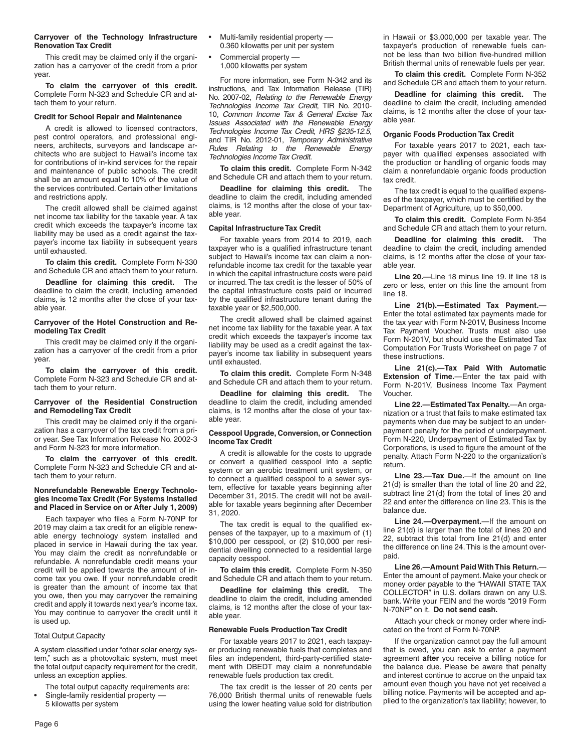#### **Carryover of the Technology Infrastructure Renovation Tax Credit**

This credit may be claimed only if the organization has a carryover of the credit from a prior year.

**To claim the carryover of this credit.** Complete Form N-323 and Schedule CR and attach them to your return.

#### **Credit for School Repair and Maintenance**

A credit is allowed to licensed contractors, pest control operators, and professional engineers, architects, surveyors and landscape architects who are subject to Hawaii's income tax for contributions of in-kind services for the repair and maintenance of public schools. The credit shall be an amount equal to 10% of the value of the services contributed. Certain other limitations and restrictions apply.

The credit allowed shall be claimed against net income tax liability for the taxable year. A tax credit which exceeds the taxpayer's income tax liability may be used as a credit against the taxpayer's income tax liability in subsequent years until exhausted.

**To claim this credit.** Complete Form N-330 and Schedule CR and attach them to your return.

**Deadline for claiming this credit.** The deadline to claim the credit, including amended claims, is 12 months after the close of your taxable year.

#### **Carryover of the Hotel Construction and Remodeling Tax Credit**

This credit may be claimed only if the organization has a carryover of the credit from a prior year.

**To claim the carryover of this credit.** Complete Form N-323 and Schedule CR and attach them to your return.

#### **Carryover of the Residential Construction and Remodeling Tax Credit**

This credit may be claimed only if the organization has a carryover of the tax credit from a prior year. See Tax Information Release No. 2002-3 and Form N-323 for more information.

**To claim the carryover of this credit.** Complete Form N-323 and Schedule CR and attach them to your return.

#### **Nonrefundable Renewable Energy Technologies Income Tax Credit (For Systems Installed and Placed in Service on or After July 1, 2009)**

Each taxpayer who files a Form N-70NP for 2019 may claim a tax credit for an eligible renewable energy technology system installed and placed in service in Hawaii during the tax year. You may claim the credit as nonrefundable or refundable. A nonrefundable credit means your credit will be applied towards the amount of income tax you owe. If your nonrefundable credit is greater than the amount of income tax that you owe, then you may carryover the remaining credit and apply it towards next year's income tax. You may continue to carryover the credit until it is used up.

#### **Total Output Capacity**

A system classified under "other solar energy system," such as a photovoltaic system, must meet the total output capacity requirement for the credit, unless an exception applies.

- The total output capacity requirements are:
- Single-family residential property -5 kilowatts per system
- Multi-family residential property -0.360 kilowatts per unit per system
- Commercial property –– 1,000 kilowatts per system

For more information, see Form N-342 and its instructions, and Tax Information Release (TIR) No. 2007-02, *Relating to the Renewable Energy Technologies Income Tax Credit*, TIR No. 2010- 10, *Common Income Tax & General Excise Tax Issues Associated with the Renewable Energy Technologies Income Tax Credit, HRS §235-12.5*, and TIR No. 2012-01, *Temporary Administrative Rules Relating to the Renewable Energy Technologies Income Tax Credit*.

**To claim this credit.** Complete Form N-342 and Schedule CR and attach them to your return.

**Deadline for claiming this credit.** The deadline to claim the credit, including amended claims, is 12 months after the close of your taxable year.

#### **Capital Infrastructure Tax Credit**

For taxable years from 2014 to 2019, each taxpayer who is a qualified infrastructure tenant subject to Hawaii's income tax can claim a nonrefundable income tax credit for the taxable year in which the capital infrastructure costs were paid or incurred. The tax credit is the lesser of 50% of the capital infrastructure costs paid or incurred by the qualified infrastructure tenant during the taxable year or \$2,500,000.

The credit allowed shall be claimed against net income tax liability for the taxable year. A tax credit which exceeds the taxpayer's income tax liability may be used as a credit against the taxpayer's income tax liability in subsequent years until exhausted.

**To claim this credit.** Complete Form N-348 and Schedule CR and attach them to your return.

**Deadline for claiming this credit.** The deadline to claim the credit, including amended claims, is 12 months after the close of your taxable year.

#### **Cesspool Upgrade, Conversion, or Connection Income Tax Credit**

A credit is allowable for the costs to upgrade or convert a qualified cesspool into a septic system or an aerobic treatment unit system, or to connect a qualified cesspool to a sewer system, effective for taxable years beginning after December 31, 2015. The credit will not be available for taxable years beginning after December 31, 2020.

The tax credit is equal to the qualified expenses of the taxpayer, up to a maximum of (1) \$10,000 per cesspool, or (2) \$10,000 per residential dwelling connected to a residential large capacity cesspool.

**To claim this credit.** Complete Form N-350 and Schedule CR and attach them to your return.

**Deadline for claiming this credit.** The deadline to claim the credit, including amended claims, is 12 months after the close of your taxable year.

#### **Renewable Fuels Production Tax Credit**

For taxable years 2017 to 2021, each taxpayer producing renewable fuels that completes and files an independent, third-party-certified statement with DBEDT may claim a nonrefundable renewable fuels production tax credit.

The tax credit is the lesser of 20 cents per 76,000 British thermal units of renewable fuels using the lower heating value sold for distribution

in Hawaii or \$3,000,000 per taxable year. The taxpayer's production of renewable fuels cannot be less than two billion five-hundred million British thermal units of renewable fuels per year.

**To claim this credit.** Complete Form N-352 and Schedule CR and attach them to your return.

**Deadline for claiming this credit.** The deadline to claim the credit, including amended claims, is 12 months after the close of your taxable year.

#### **Organic Foods Production Tax Credit**

For taxable years 2017 to 2021, each taxpayer with qualified expenses associated with the production or handling of organic foods may claim a nonrefundable organic foods production tax credit.

The tax credit is equal to the qualified expenses of the taxpayer, which must be certified by the Department of Agriculture, up to \$50,000.

**To claim this credit.** Complete Form N-354 and Schedule CR and attach them to your return.

**Deadline for claiming this credit.** The deadline to claim the credit, including amended claims, is 12 months after the close of your taxable year.

**Line 20.—**Line 18 minus line 19. If line 18 is zero or less, enter on this line the amount from line 18.

**Line 21(b).—Estimated Tax Payment.**— Enter the total estimated tax payments made for the tax year with Form N-201V, Business Income Tax Payment Voucher. Trusts must also use Form N-201V, but should use the Estimated Tax Computation For Trusts Worksheet on page 7 of these instructions.

**Line 21(c).—Tax Paid With Automatic Extension of Time.**—Enter the tax paid with Form N-201V, Business Income Tax Payment Voucher.

**Line 22.—Estimated Tax Penalty.**—An organization or a trust that fails to make estimated tax payments when due may be subject to an underpayment penalty for the period of underpayment. Form N-220, Underpayment of Estimated Tax by Corporations, is used to figure the amount of the penalty. Attach Form N-220 to the organization's return.

**Line 23.—Tax Due.**—If the amount on line 21(d) is smaller than the total of line 20 and 22, subtract line 21(d) from the total of lines 20 and 22 and enter the difference on line 23. This is the balance due.

**Line 24.—Overpayment.**—If the amount on line 21(d) is larger than the total of lines 20 and 22, subtract this total from line 21(d) and enter the difference on line 24. This is the amount overpaid.

**Line 26.—Amount Paid With This Return.**— Enter the amount of payment. Make your check or money order payable to the "HAWAII STATE TAX COLLECTOR" in U.S. dollars drawn on any U.S. bank. Write your FEIN and the words "2019 Form N-70NP" on it. **Do not send cash.**

Attach your check or money order where indicated on the front of Form N-70NP.

If the organization cannot pay the full amount that is owed, you can ask to enter a payment agreement **after** you receive a billing notice for the balance due. Please be aware that penalty and interest continue to accrue on the unpaid tax amount even though you have not yet received a billing notice. Payments will be accepted and applied to the organization's tax liability; however, to